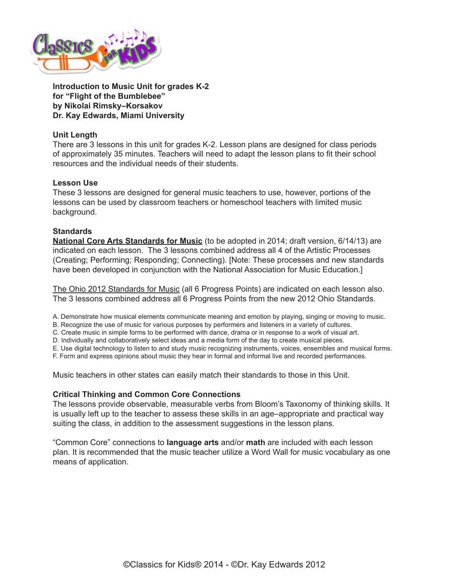

**Introduction to Music Unit for grades K-2 for "Flight of the Bumblebee" by Nikolai Rimsky–Korsakov Dr. Kay Edwards, Miami University**

## **Unit Length**

There are 3 lessons in this unit for grades K-2. Lesson plans are designed for class periods of approximately 35 minutes. Teachers will need to adapt the lesson plans to fit their school resources and the individual needs of their students.

### **Lesson Use**

These 3 lessons are designed for general music teachers to use, however, portions of the lessons can be used by classroom teachers or homeschool teachers with limited music background.

### **Standards**

**[National Core Arts Standards for Music](https://www.nationalartsstandards.org/)** (to be adopted in 2014; draft version, 6/14/13) are indicated on each lesson. The 3 lessons combined address all 4 of the Artistic Processes (Creating; Performing; Responding; Connecting). [Note: These processes and new standards have been developed in conjunction with the National Association for Music Education.]

[The Ohio 2012 Standards for Music](http://education.ohio.gov/Topics/Academic-Content-Standards/2012-Revised-Fine-Arts-Standards) (all 6 Progress Points) are indicated on each lesson also. The 3 lessons combined address all 6 Progress Points from the new 2012 Ohio Standards.

A. Demonstrate how musical elements communicate meaning and emotion by playing, singing or moving to music.

B. Recognize the use of music for various purposes by performers and listeners in a variety of cultures.

C. Create music in simple forms to be performed with dance, drama or in response to a work of visual art.

D. Individually and collaboratively select ideas and a media form of the day to create musical pieces.

E. Use digital technology to listen to and study music recognizing instruments, voices, ensembles and musical forms.

F. Form and express opinions about music they hear in formal and informal live and recorded performances.

Music teachers in other states can easily match their standards to those in this Unit.

### **Critical Thinking and Common Core Connections**

The lessons provide observable, measurable verbs from Bloom's Taxonomy of thinking skills. It is usually left up to the teacher to assess these skills in an age–appropriate and practical way suiting the class, in addition to the assessment suggestions in the lesson plans.

"Common Core" connections to **language arts** and/or **math** are included with each lesson plan. It is recommended that the music teacher utilize a Word Wall for music vocabulary as one means of application.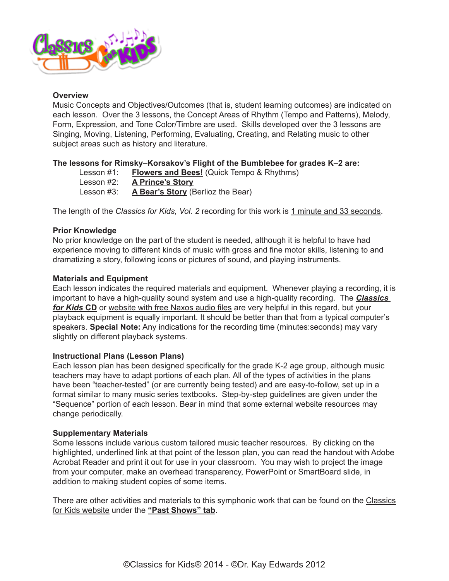

### **Overview**

Music Concepts and Objectives/Outcomes (that is, student learning outcomes) are indicated on each lesson. Over the 3 lessons, the Concept Areas of Rhythm (Tempo and Patterns), Melody, Form, Expression, and Tone Color/Timbre are used. Skills developed over the 3 lessons are Singing, Moving, Listening, Performing, Evaluating, Creating, and Relating music to other subject areas such as history and literature.

# **The lessons for Rimsky–Korsakov's Flight of the Bumblebee for grades K–2 are:**

Lesson #1: **[Flowers and Bees!](http://www.classicsforkids.com/downloads/rimsky_korsakov/Rimsky-Korsakov_LessonPlansK-2_part1.pdf)** (Quick Tempo & Rhythms)

Lesson #2: **[A Prince's Story](http://www.classicsforkids.com/downloads/rimsky_korsakov/Rimsky-Korsakov_LessonPlansK-2_part2.pdf)**

Lesson #3: **[A Bear's Story](http://www.classicsforkids.com/downloads/rimsky_korsakov/Rimsky-Korsakov_LessonPlansK-2_part3.pdf)** (Berlioz the Bear)

The length of the *Classics for Kids, Vol. 2* recording for this work is 1 minute and 33 seconds.

### **Prior Knowledge**

No prior knowledge on the part of the student is needed, although it is helpful to have had experience moving to different kinds of music with gross and fine motor skills, listening to and dramatizing a story, following icons or pictures of sound, and playing instruments.

### **Materials and Equipment**

Each lesson indicates the required materials and equipment. Whenever playing a recording, it is important to have a high-quality sound system and use a high-quality recording. The *[Classics](https://secure2.convio.net/cpr/site/Ecommerce/48382983?VIEW_PRODUCT=true&product_id=1080&store_id=1101)  [for Kids](https://secure2.convio.net/cpr/site/Ecommerce/48382983?VIEW_PRODUCT=true&product_id=1080&store_id=1101)* **CD** or [website with free Naxos audio files](https://www.classicsforkids.com/music/hearthemusic.php) are very helpful in this regard, but your playback equipment is equally important. It should be better than that from a typical computer's speakers. **Special Note:** Any indications for the recording time (minutes:seconds) may vary slightly on different playback systems.

### **Instructional Plans (Lesson Plans)**

Each lesson plan has been designed specifically for the grade K-2 age group, although music teachers may have to adapt portions of each plan. All of the types of activities in the plans have been "teacher-tested" (or are currently being tested) and are easy-to-follow, set up in a format similar to many music series textbooks. Step-by-step guidelines are given under the "Sequence" portion of each lesson. Bear in mind that some external website resources may change periodically.

### **Supplementary Materials**

Some lessons include various custom tailored music teacher resources. By clicking on the highlighted, underlined link at that point of the lesson plan, you can read the handout with Adobe Acrobat Reader and print it out for use in your classroom. You may wish to project the image from your computer, make an overhead transparency, PowerPoint or SmartBoard slide, in addition to making student copies of some items.

There are other activities and materials to this symphonic work that can be found on the [Classics](http://www.classicsforkids.com/)  [for Kids website](http://www.classicsforkids.com/) under the **["Past Shows" tab](http://www.classicsforkids.com/programs.asp)**.